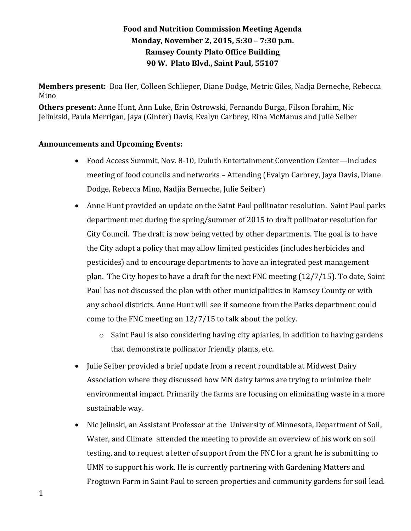## **Food and Nutrition Commission Meeting Agenda Monday, November 2, 2015, 5:30 – 7:30 p.m. Ramsey County Plato Office Building 90 W. Plato Blvd., Saint Paul, 55107**

**Members present:** Boa Her, Colleen Schlieper, Diane Dodge, Metric Giles, Nadja Berneche, Rebecca Mino

**Others present:** Anne Hunt, Ann Luke, Erin Ostrowski, Fernando Burga, Filson Ibrahim, Nic Jelinkski, Paula Merrigan, Jaya (Ginter) Davis, Evalyn Carbrey, Rina McManus and Julie Seiber

## **Announcements and Upcoming Events:**

- Food Access Summit, Nov. 8-10, Duluth Entertainment Convention Center—includes meeting of food councils and networks – Attending (Evalyn Carbrey, Jaya Davis, Diane Dodge, Rebecca Mino, Nadjia Berneche, Julie Seiber)
- Anne Hunt provided an update on the Saint Paul pollinator resolution. Saint Paul parks department met during the spring/summer of 2015 to draft pollinator resolution for City Council. The draft is now being vetted by other departments. The goal is to have the City adopt a policy that may allow limited pesticides (includes herbicides and pesticides) and to encourage departments to have an integrated pest management plan. The City hopes to have a draft for the next FNC meeting (12/7/15). To date, Saint Paul has not discussed the plan with other municipalities in Ramsey County or with any school districts. Anne Hunt will see if someone from the Parks department could come to the FNC meeting on 12/7/15 to talk about the policy.
	- o Saint Paul is also considering having city apiaries, in addition to having gardens that demonstrate pollinator friendly plants, etc.
- Julie Seiber provided a brief update from a recent roundtable at Midwest Dairy Association where they discussed how MN dairy farms are trying to minimize their environmental impact. Primarily the farms are focusing on eliminating waste in a more sustainable way.
- Nic Jelinski, an Assistant Professor at the University of Minnesota, Department of Soil, Water, and Climate attended the meeting to provide an overview of his work on soil testing, and to request a letter of support from the FNC for a grant he is submitting to UMN to support his work. He is currently partnering with Gardening Matters and Frogtown Farm in Saint Paul to screen properties and community gardens for soil lead.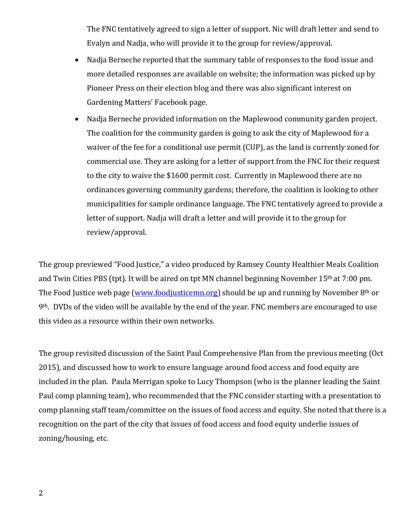The FNC tentatively agreed to sign a letter of support. Nic will draft letter and send to Evalyn and Nadja, who will provide it to the group for review/approval.

- Nadia Berneche reported that the summary table of responses to the food issue and more detailed responses are available on website; the information was picked up by Pioneer Press on their election blog and there was also significant interest on Gardening Matters' Facebook page.
- Nadja Berneche provided information on the Maplewood community garden project. The coalition for the community garden is going to ask the city of Maplewood for a waiver of the fee for a conditional use permit (CUP), as the land is currently zoned for commercial use. They are asking for a letter of support from the FNC for their request to the city to waive the \$1600 permit cost. Currently in Maplewood there are no ordinances governing community gardens; therefore, the coalition is looking to other municipalities for sample ordinance language. The FNC tentatively agreed to provide a letter of support. Nadja will draft a letter and will provide it to the group for review/approval.

The group previewed "Food Justice," a video produced by Ramsey County Healthier Meals Coalition and Twin Cities PBS (tpt). It will be aired on tpt MN channel beginning November 15th at 7:00 pm. The Food Justice web page [\(www.foodjusticemn.org\)](http://www.foodjusticemn.org/) should be up and running by November  $8<sup>th</sup>$  or 9th. DVDs of the video will be available by the end of the year. FNC members are encouraged to use this video as a resource within their own networks.

The group revisited discussion of the Saint Paul Comprehensive Plan from the previous meeting (Oct 2015), and discussed how to work to ensure language around food access and food equity are included in the plan. Paula Merrigan spoke to Lucy Thompson (who is the planner leading the Saint Paul comp planning team), who recommended that the FNC consider starting with a presentation to comp planning staff team/committee on the issues of food access and equity. She noted that there is a recognition on the part of the city that issues of food access and food equity underlie issues of zoning/housing, etc.